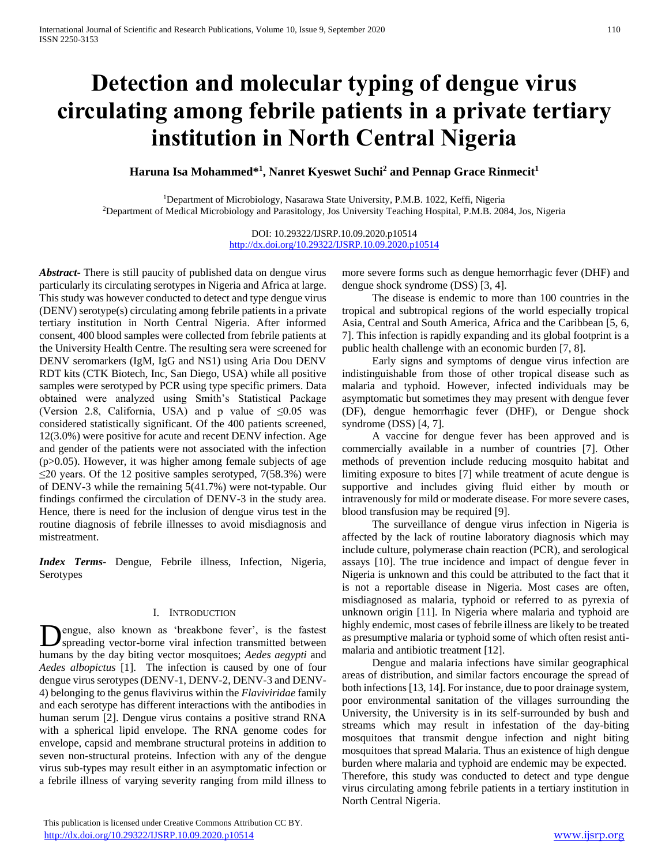# **Detection and molecular typing of dengue virus circulating among febrile patients in a private tertiary institution in North Central Nigeria**

**Haruna Isa Mohammed\*<sup>1</sup> , Nanret Kyeswet Suchi<sup>2</sup> and Pennap Grace Rinmecit<sup>1</sup>**

<sup>1</sup>Department of Microbiology, Nasarawa State University, P.M.B. 1022, Keffi, Nigeria <sup>2</sup>Department of Medical Microbiology and Parasitology, Jos University Teaching Hospital, P.M.B. 2084, Jos, Nigeria

> DOI: 10.29322/IJSRP.10.09.2020.p10514 <http://dx.doi.org/10.29322/IJSRP.10.09.2020.p10514>

*Abstract***-** There is still paucity of published data on dengue virus particularly its circulating serotypes in Nigeria and Africa at large. This study was however conducted to detect and type dengue virus (DENV) serotype(s) circulating among febrile patients in a private tertiary institution in North Central Nigeria. After informed consent, 400 blood samples were collected from febrile patients at the University Health Centre. The resulting sera were screened for DENV seromarkers (IgM, IgG and NS1) using Aria Dou DENV RDT kits (CTK Biotech, Inc, San Diego, USA) while all positive samples were serotyped by PCR using type specific primers. Data obtained were analyzed using Smith's Statistical Package (Version 2.8, California, USA) and p value of  $\leq 0.05$  was considered statistically significant. Of the 400 patients screened, 12(3.0%) were positive for acute and recent DENV infection. Age and gender of the patients were not associated with the infection  $(p>0.05)$ . However, it was higher among female subjects of age  $\leq$ 20 years. Of the 12 positive samples serotyped, 7(58.3%) were of DENV-3 while the remaining 5(41.7%) were not-typable. Our findings confirmed the circulation of DENV-3 in the study area. Hence, there is need for the inclusion of dengue virus test in the routine diagnosis of febrile illnesses to avoid misdiagnosis and mistreatment.

*Index Terms*- Dengue, Febrile illness, Infection, Nigeria, Serotypes

# I. INTRODUCTION

engue, also known as 'breakbone fever', is the fastest spreading vector-borne viral infection transmitted between **h**engue, also known as 'breakbone fever', is the fastest spreading vector-borne viral infection transmitted between humans by the day biting vector mosquitoes; *Aedes aegypti* and *Aedes albopictus* [1]. The infection is caused by one of four dengue virus serotypes (DENV-1, DENV-2, DENV-3 and DENV-4) belonging to the genus flavivirus within the *Flaviviridae* family and each serotype has different interactions with the antibodies in human serum [2]. Dengue virus contains a positive strand RNA with a spherical lipid envelope. The RNA genome codes for envelope, capsid and membrane structural proteins in addition to seven non-structural proteins. Infection with any of the dengue virus sub-types may result either in an asymptomatic infection or a febrile illness of varying severity ranging from mild illness to

more severe forms such as dengue hemorrhagic fever (DHF) and dengue shock syndrome (DSS) [3, 4].

 The disease is endemic to more than 100 countries in the tropical and subtropical regions of the world especially tropical Asia, Central and South America, Africa and the Caribbean [5, 6, 7]. This infection is rapidly expanding and its global footprint is a public health challenge with an economic burden [7, 8].

 Early signs and symptoms of dengue virus infection are indistinguishable from those of other tropical disease such as malaria and typhoid. However, infected individuals may be asymptomatic but sometimes they may present with dengue fever (DF), dengue hemorrhagic fever (DHF), or Dengue shock syndrome (DSS) [4, 7].

 A vaccine for dengue fever has been approved and is commercially available in a number of countries [7]. Other methods of prevention include reducing mosquito habitat and limiting exposure to bites [7] while treatment of acute dengue is supportive and includes giving fluid either by mouth or intravenously for mild or moderate disease. For more severe cases, blood transfusion may be required [9].

 The surveillance of dengue virus infection in Nigeria is affected by the lack of routine laboratory diagnosis which may include culture, polymerase chain reaction (PCR), and serological assays [10]. The true incidence and impact of dengue fever in Nigeria is unknown and this could be attributed to the fact that it is not a reportable disease in Nigeria. Most cases are often, misdiagnosed as malaria, typhoid or referred to as pyrexia of unknown origin [11]. In Nigeria where malaria and typhoid are highly endemic, most cases of febrile illness are likely to be treated as presumptive malaria or typhoid some of which often resist antimalaria and antibiotic treatment [12].

 Dengue and malaria infections have similar geographical areas of distribution, and similar factors encourage the spread of both infections [13, 14]. For instance, due to poor drainage system, poor environmental sanitation of the villages surrounding the University, the University is in its self-surrounded by bush and streams which may result in infestation of the day-biting mosquitoes that transmit dengue infection and night biting mosquitoes that spread Malaria. Thus an existence of high dengue burden where malaria and typhoid are endemic may be expected. Therefore, this study was conducted to detect and type dengue virus circulating among febrile patients in a tertiary institution in North Central Nigeria.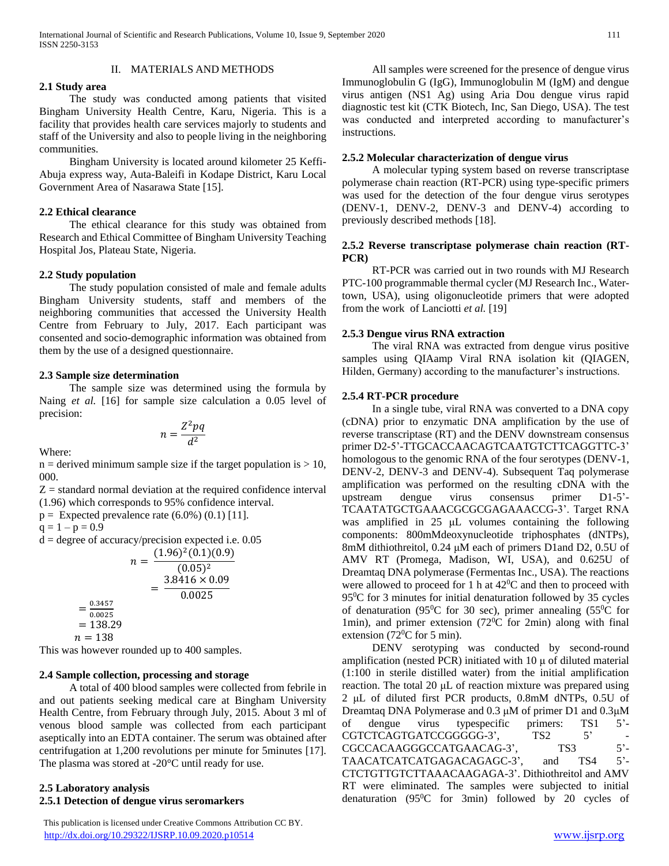# II. MATERIALS AND METHODS

# **2.1 Study area**

 The study was conducted among patients that visited Bingham University Health Centre, Karu, Nigeria. This is a facility that provides health care services majorly to students and staff of the University and also to people living in the neighboring communities.

 Bingham University is located around kilometer 25 Keffi-Abuja express way, Auta-Baleifi in Kodape District, Karu Local Government Area of Nasarawa State [15].

### **2.2 Ethical clearance**

 The ethical clearance for this study was obtained from Research and Ethical Committee of Bingham University Teaching Hospital Jos, Plateau State, Nigeria.

#### **2.2 Study population**

 The study population consisted of male and female adults Bingham University students, staff and members of the neighboring communities that accessed the University Health Centre from February to July, 2017. Each participant was consented and socio-demographic information was obtained from them by the use of a designed questionnaire.

# **2.3 Sample size determination**

 The sample size was determined using the formula by Naing *et al.* [16] for sample size calculation a 0.05 level of precision:

$$
n = \frac{Z^2 pq}{d^2}
$$

Where:

 $n =$  derived minimum sample size if the target population is  $> 10$ , 000.

 $Z =$  standard normal deviation at the required confidence interval (1.96) which corresponds to 95% confidence interval.

 $p =$  Expected prevalence rate  $(6.0\%)$   $(0.1)$  [11].

 $q = 1 - p = 0.9$ 

 $=\frac{0.3457}{0.0025}$ 0.0025  $= 138.2$  $n = 138$ 

 $d = degree of accuracy/precision expected i.e. 0.05$ 

$$
n = \frac{(1.96)^2 (0.1)(0.9)}{(0.05)^2}
$$

$$
= \frac{3.8416 \times 0.09}{0.0025}
$$

This was however rounded up to 400 samples.

# **2.4 Sample collection, processing and storage**

 A total of 400 blood samples were collected from febrile in and out patients seeking medical care at Bingham University Health Centre, from February through July, 2015. About 3 ml of venous blood sample was collected from each participant aseptically into an EDTA container. The serum was obtained after centrifugation at 1,200 revolutions per minute for 5minutes [17]. The plasma was stored at -20°C until ready for use.

# **2.5 Laboratory analysis 2.5.1 Detection of dengue virus seromarkers**

 This publication is licensed under Creative Commons Attribution CC BY. <http://dx.doi.org/10.29322/IJSRP.10.09.2020.p10514> [www.ijsrp.org](http://ijsrp.org/)

 All samples were screened for the presence of dengue virus Immunoglobulin G (IgG), Immunoglobulin M (IgM) and dengue virus antigen (NS1 Ag) using Aria Dou dengue virus rapid diagnostic test kit (CTK Biotech, Inc, San Diego, USA). The test was conducted and interpreted according to manufacturer's instructions.

# **2.5.2 Molecular characterization of dengue virus**

 A molecular typing system based on reverse transcriptase polymerase chain reaction (RT-PCR) using type-specific primers was used for the detection of the four dengue virus serotypes (DENV-1, DENV-2, DENV-3 and DENV-4) according to previously described methods [18].

# **2.5.2 Reverse transcriptase polymerase chain reaction (RT-PCR)**

 RT-PCR was carried out in two rounds with MJ Research PTC-100 programmable thermal cycler (MJ Research Inc., Watertown, USA), using oligonucleotide primers that were adopted from the work of Lanciotti *et al.* [19]

# **2.5.3 Dengue virus RNA extraction**

 The viral RNA was extracted from dengue virus positive samples using QIAamp Viral RNA isolation kit (QIAGEN, Hilden, Germany) according to the manufacturer's instructions.

# **2.5.4 RT-PCR procedure**

 In a single tube, viral RNA was converted to a DNA copy (cDNA) prior to enzymatic DNA amplification by the use of reverse transcriptase (RT) and the DENV downstream consensus primer D2-5'-TTGCACCAACAGTCAATGTCTTCAGGTTC-3' homologous to the genomic RNA of the four serotypes (DENV-1, DENV-2, DENV-3 and DENV-4). Subsequent Taq polymerase amplification was performed on the resulting cDNA with the upstream dengue virus consensus primer D1-5'- TCAATATGCTGAAACGCGCGAGAAACCG-3'. Target RNA was amplified in 25 μL volumes containing the following components: 800mMdeoxynucleotide triphosphates (dNTPs), 8mM dithiothreitol, 0.24 μM each of primers D1and D2, 0.5U of AMV RT (Promega, Madison, WI, USA), and 0.625U of Dreamtaq DNA polymerase (Fermentas Inc., USA). The reactions were allowed to proceed for 1 h at 42<sup>0</sup>C and then to proceed with  $95^{\circ}$ C for 3 minutes for initial denaturation followed by 35 cycles of denaturation (95<sup>0</sup>C for 30 sec), primer annealing (55<sup>0</sup>C for 1min), and primer extension  $(72^{\circ}C)$  for 2min) along with final extension (72 $^{\circ}$ C for 5 min).

 DENV serotyping was conducted by second-round amplification (nested PCR) initiated with 10 μ of diluted material (1:100 in sterile distilled water) from the initial amplification reaction. The total 20 μL of reaction mixture was prepared using 2 μL of diluted first PCR products, 0.8mM dNTPs, 0.5U of Dreamtaq DNA Polymerase and 0.3 μM of primer D1 and 0.3μM of dengue virus typespecific primers: TS1 5'- CGTCTCAGTGATCCGGGGG-3', TS2 5' CGCCACAAGGGCCATGAACAG-3', TS3 5'-TAACATCATCATGAGACAGAGC-3', and TS4 5'- CTCTGTTGTCTTAAACAAGAGA-3'. Dithiothreitol and AMV RT were eliminated. The samples were subjected to initial denaturation  $(95\textdegree C$  for 3min) followed by 20 cycles of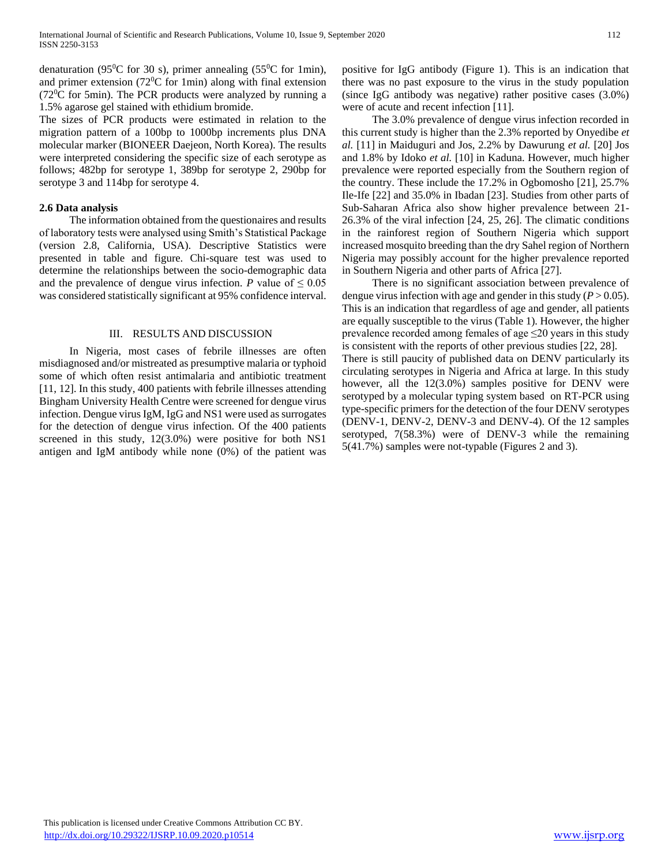denaturation (95<sup>0</sup>C for 30 s), primer annealing (55<sup>0</sup>C for 1min), and primer extension ( $72^{\circ}$ C for 1min) along with final extension  $(72^{\circ}$ C for 5min). The PCR products were analyzed by running a 1.5% agarose gel stained with ethidium bromide.

The sizes of PCR products were estimated in relation to the migration pattern of a 100bp to 1000bp increments plus DNA molecular marker (BIONEER Daejeon, North Korea). The results were interpreted considering the specific size of each serotype as follows; 482bp for serotype 1, 389bp for serotype 2, 290bp for serotype 3 and 114bp for serotype 4.

# **2.6 Data analysis**

 The information obtained from the questionaires and results of laboratory tests were analysed using Smith's Statistical Package (version 2.8, California, USA). Descriptive Statistics were presented in table and figure. Chi-square test was used to determine the relationships between the socio-demographic data and the prevalence of dengue virus infection. *P* value of  $\leq 0.05$ was considered statistically significant at 95% confidence interval.

# III. RESULTS AND DISCUSSION

 In Nigeria, most cases of febrile illnesses are often misdiagnosed and/or mistreated as presumptive malaria or typhoid some of which often resist antimalaria and antibiotic treatment [11, 12]. In this study, 400 patients with febrile illnesses attending Bingham University Health Centre were screened for dengue virus infection. Dengue virus IgM, IgG and NS1 were used as surrogates for the detection of dengue virus infection. Of the 400 patients screened in this study, 12(3.0%) were positive for both NS1 antigen and IgM antibody while none (0%) of the patient was positive for IgG antibody (Figure 1). This is an indication that there was no past exposure to the virus in the study population (since IgG antibody was negative) rather positive cases (3.0%) were of acute and recent infection [11].

 The 3.0% prevalence of dengue virus infection recorded in this current study is higher than the 2.3% reported by Onyedibe *et al.* [11] in Maiduguri and Jos, 2.2% by Dawurung *et al.* [20] Jos and 1.8% by Idoko *et al.* [10] in Kaduna. However, much higher prevalence were reported especially from the Southern region of the country. These include the 17.2% in Ogbomosho [21], 25.7% Ile-Ife [22] and 35.0% in Ibadan [23]. Studies from other parts of Sub-Saharan Africa also show higher prevalence between 21- 26.3% of the viral infection [24, 25, 26]. The climatic conditions in the rainforest region of Southern Nigeria which support increased mosquito breeding than the dry Sahel region of Northern Nigeria may possibly account for the higher prevalence reported in Southern Nigeria and other parts of Africa [27].

 There is no significant association between prevalence of dengue virus infection with age and gender in this study  $(P > 0.05)$ . This is an indication that regardless of age and gender, all patients are equally susceptible to the virus (Table 1). However, the higher prevalence recorded among females of age  $\leq$ 20 years in this study is consistent with the reports of other previous studies [22, 28]. There is still paucity of published data on DENV particularly its circulating serotypes in Nigeria and Africa at large. In this study however, all the  $12(3.0%)$  samples positive for DENV were serotyped by a molecular typing system based on RT-PCR using type-specific primers for the detection of the four DENV serotypes (DENV-1, DENV-2, DENV-3 and DENV-4). Of the 12 samples serotyped, 7(58.3%) were of DENV-3 while the remaining 5(41.7%) samples were not-typable (Figures 2 and 3).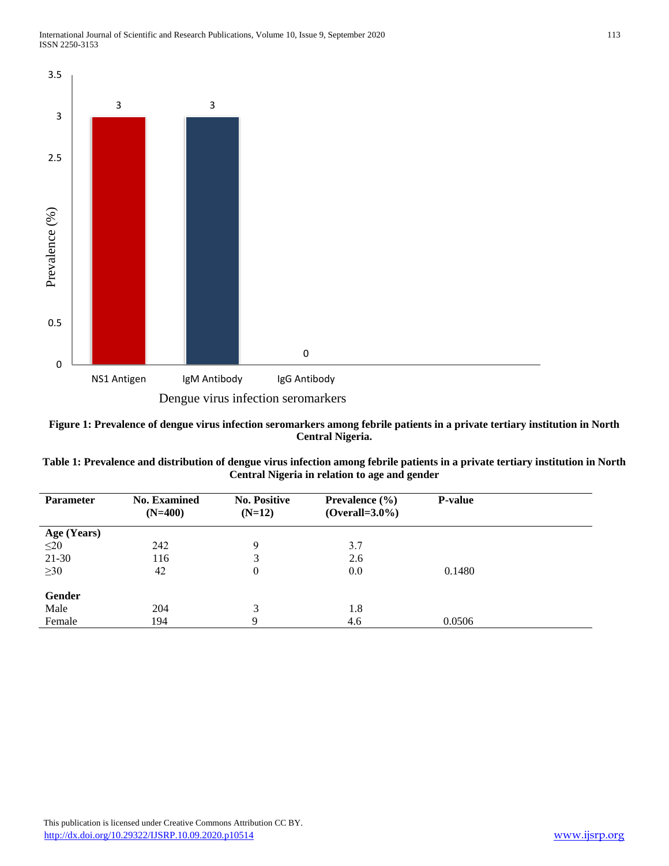

**Figure 1: Prevalence of dengue virus infection seromarkers among febrile patients in a private tertiary institution in North Central Nigeria.**

| <b>Parameter</b> | <b>No. Examined</b><br>$(N=400)$ | <b>No. Positive</b><br>$(N=12)$ | Prevalence $(\% )$<br>$(Overal=3.0\%)$ | <b>P-value</b> |  |
|------------------|----------------------------------|---------------------------------|----------------------------------------|----------------|--|
| Age (Years)      |                                  |                                 |                                        |                |  |
| $\leq$ 20        | 242                              | 9                               | 3.7                                    |                |  |
| $21-30$          | 116                              | 3                               | 2.6                                    |                |  |
| $\geq 30$        | 42                               | $\boldsymbol{0}$                | 0.0                                    | 0.1480         |  |
| Gender           |                                  |                                 |                                        |                |  |
| Male             | 204                              | 3                               | 1.8                                    |                |  |
| Female           | 194                              | q                               | 4.6                                    | 0.0506         |  |

| Table 1: Prevalence and distribution of dengue virus infection among febrile patients in a private tertiary institution in North |
|----------------------------------------------------------------------------------------------------------------------------------|
| Central Nigeria in relation to age and gender                                                                                    |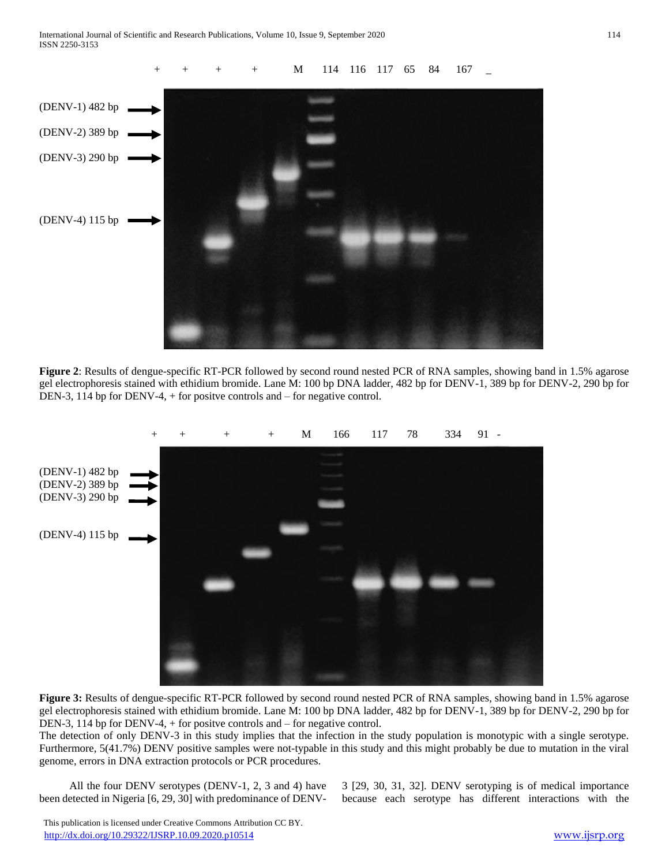

**Figure 2**: Results of dengue-specific RT-PCR followed by second round nested PCR of RNA samples, showing band in 1.5% agarose gel electrophoresis stained with ethidium bromide. Lane M: 100 bp DNA ladder, 482 bp for DENV-1, 389 bp for DENV-2, 290 bp for DEN-3, 114 bp for DENV-4, + for positve controls and – for negative control.



**Figure 3:** Results of dengue-specific RT-PCR followed by second round nested PCR of RNA samples, showing band in 1.5% agarose gel electrophoresis stained with ethidium bromide. Lane M: 100 bp DNA ladder, 482 bp for DENV-1, 389 bp for DENV-2, 290 bp for DEN-3, 114 bp for DENV-4, + for positve controls and – for negative control.

The detection of only DENV-3 in this study implies that the infection in the study population is monotypic with a single serotype. Furthermore, 5(41.7%) DENV positive samples were not-typable in this study and this might probably be due to mutation in the viral genome, errors in DNA extraction protocols or PCR procedures.

 All the four DENV serotypes (DENV-1, 2, 3 and 4) have been detected in Nigeria [6, 29, 30] with predominance of DENV- 3 [29, 30, 31, 32]. DENV serotyping is of medical importance because each serotype has different interactions with the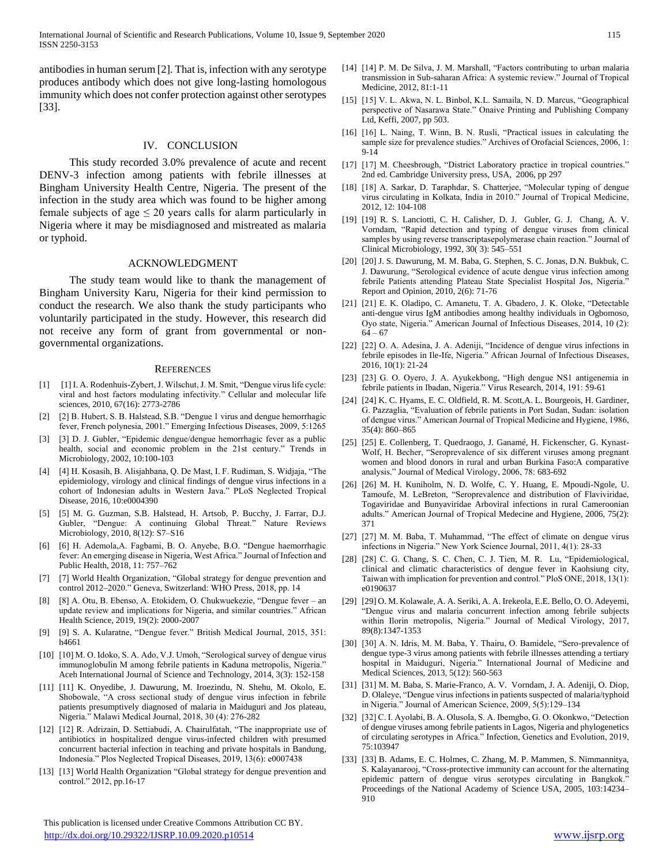antibodies in human serum [2]. That is, infection with any serotype produces antibody which does not give long-lasting homologous immunity which does not confer protection against other serotypes [33].

# IV. CONCLUSION

 This study recorded 3.0% prevalence of acute and recent DENV-3 infection among patients with febrile illnesses at Bingham University Health Centre, Nigeria. The present of the infection in the study area which was found to be higher among female subjects of age  $\leq 20$  years calls for alarm particularly in Nigeria where it may be misdiagnosed and mistreated as malaria or typhoid.

# ACKNOWLEDGMENT

 The study team would like to thank the management of Bingham University Karu, Nigeria for their kind permission to conduct the research. We also thank the study participants who voluntarily participated in the study. However, this research did not receive any form of grant from governmental or nongovernmental organizations.

#### **REFERENCES**

- [1] [1] I. A. Rodenhuis-Zybert, J. Wilschut, J. M. Smit, "Dengue virus life cycle: viral and host factors modulating infectivity." Cellular and molecular life sciences, 2010, 67(16): 2773-2786
- [2] [2] B. Hubert, S. B. Halstead, S.B. "Dengue 1 virus and dengue hemorrhagic fever, French polynesia, 2001." Emerging Infectious Diseases, 2009, 5:1265
- [3] [3] D. J. Gubler, "Epidemic dengue/dengue hemorrhagic fever as a public health, social and economic problem in the 21st century." Trends in Microbiology, 2002, 10:100-103
- [4] [4] H. Kosasih, B. Alisjahbana, Q. De Mast, I. F. Rudiman, S. Widjaja, "The epidemiology, virology and clinical findings of dengue virus infections in a cohort of Indonesian adults in Western Java." PLoS Neglected Tropical Disease, 2016, 10:e0004390
- [5] [5] M. G. Guzman, S.B. Halstead, H. Artsob, P. Bucchy, J. Farrar, D.J. Gubler, "Dengue: A continuing Global Threat." Nature Reviews Microbiology, 2010, 8(12): S7–S16
- [6] [6] H. Ademola,A. Fagbami, B. O. Anyebe, B.O. "Dengue haemorrhagic fever: An emerging disease in Nigeria, West Africa." Journal of Infection and Public Health, 2018, 11: 757–762
- [7] [7] World Health Organization, "Global strategy for dengue prevention and control 2012–2020." Geneva, Switzerland: WHO Press, 2018, pp. 14
- [8] [8] A. Otu, B. Ebenso, A. Etokidem, O. Chukwuekezie, "Dengue fever an update review and implications for Nigeria, and similar countries." African Health Science, 2019, 19(2): 2000-2007
- [9] [9] S. A. Kularatne, "Dengue fever." British Medical Journal, 2015, 351: h4661
- [10] [10] M. O. Idoko, S. A. Ado, V.J. Umoh, "Serological survey of dengue virus immunoglobulin M among febrile patients in Kaduna metropolis, Nigeria." Aceh International Journal of Science and Technology, 2014, 3(3): 152-158
- [11] [11] K. Onyedibe, J. Dawurung, M. Iroezindu, N. Shehu, M. Okolo, E. Shobowale, "A cross sectional study of dengue virus infection in febrile patients presumptively diagnosed of malaria in Maiduguri and Jos plateau, Nigeria." Malawi Medical Journal, 2018, 30 (4): 276-282
- [12] [12] R. Adrizain, D. Settiabudi, A. Chairulfatah, "The inappropriate use of antibiotics in hospitalized dengue virus-infected children with presumed concurrent bacterial infection in teaching and private hospitals in Bandung, Indonesia." Plos Neglected Tropical Diseases, 2019, 13(6): e0007438
- [13] [13] World Health Organization "Global strategy for dengue prevention and control." 2012, pp.16-17

 This publication is licensed under Creative Commons Attribution CC BY. <http://dx.doi.org/10.29322/IJSRP.10.09.2020.p10514> [www.ijsrp.org](http://ijsrp.org/)

- [14] [14] P. M. De Silva, J. M. Marshall, "Factors contributing to urban malaria transmission in Sub-saharan Africa: A systemic review." Journal of Tropical Medicine, 2012, 81:1-11
- [15] [15] V. L. Akwa, N. L. Binbol, K.L. Samaila, N. D. Marcus, "Geographical perspective of Nasarawa State." Onaive Printing and Publishing Company Ltd, Keffi, 2007, pp 503.
- [16] [16] L. Naing, T. Winn, B. N. Rusli, "Practical issues in calculating the sample size for prevalence studies." Archives of Orofacial Sciences, 2006, 1: 9-14
- [17] [17] M. Cheesbrough, "District Laboratory practice in tropical countries." 2nd ed. Cambridge University press, USA, 2006, pp 297
- [18] [18] A. Sarkar, D. Taraphdar, S. Chatterjee, "Molecular typing of dengue virus circulating in Kolkata, India in 2010." Journal of Tropical Medicine, 2012, 12: 104-108
- [19] [19] R. S. Lanciotti, C. H. Calisher, D. J. Gubler, G. J. Chang, A. V. Vorndam, "Rapid detection and typing of dengue viruses from clinical samples by using reverse transcriptasepolymerase chain reaction." Journal of Clinical Microbiology, 1992, 30( 3): 545–551
- [20] [20] J. S. Dawurung, M. M. Baba, G. Stephen, S. C. Jonas, D.N. Bukbuk, C. J. Dawurung, "Serological evidence of acute dengue virus infection among febrile Patients attending Plateau State Specialist Hospital Jos, Nigeria." Report and Opinion, 2010, 2(6): 71-76
- [21] [21] E. K. Oladipo, C. Amanetu, T. A. Gbadero, J. K. Oloke, "Detectable anti-dengue virus IgM antibodies among healthy individuals in Ogbomoso, Oyo state, Nigeria." American Journal of Infectious Diseases, 2014, 10 (2):  $64 - 67$
- [22] [22] O. A. Adesina, J. A. Adeniji, "Incidence of dengue virus infections in febrile episodes in Ile-Ife, Nigeria." African Journal of Infectious Diseases, 2016, 10(1): 21-24
- [23] [23] G. O. Oyero, J. A. Ayukekbong, "High dengue NS1 antigenemia in febrile patients in Ibadan, Nigeria." Virus Research, 2014, 191: 59-61
- [24] [24] K. C. Hyams, E. C. Oldfield, R. M. Scott,A. L. Bourgeois, H. Gardiner, G. Pazzaglia, "Evaluation of febrile patients in Port Sudan, Sudan: isolation of dengue virus." American Journal of Tropical Medicine and Hygiene, 1986, 35(4): 860–865
- [25] [25] E. Collenberg, T. Quedraogo, J. Ganamé, H. Fickenscher, G. Kynast-Wolf, H. Becher, "Seroprevalence of six different viruses among pregnant women and blood donors in rural and urban Burkina Faso:A comparative analysis." Journal of Medical Virology, 2006, 78: 683-692
- [26] [26] M. H. Kuniholm, N. D. Wolfe, C. Y. Huang, E. Mpoudi-Ngole, U. Tamoufe, M. LeBreton, "Seroprevalence and distribution of Flaviviridae, Togaviridae and Bunyaviridae Arboviral infections in rural Cameroonian adults." American Journal of Tropical Medecine and Hygiene, 2006, 75(2): 371
- [27] [27] M. M. Baba, T. Muhammad, "The effect of climate on dengue virus infections in Nigeria." New York Science Journal, 2011, 4(1): 28-33
- [28] [28] C. G. Chang, S. C. Chen, C. J. Tien, M. R. Lu, "Epidemiological, clinical and climatic characteristics of dengue fever in Kaohsiung city, Taiwan with implication for prevention and control." PloS ONE, 2018, 13(1): e0190637
- [29] [29] O. M. Kolawale, A. A. Seriki, A. A. Irekeola, E.E. Bello, O. O. Adeyemi, "Dengue virus and malaria concurrent infection among febrile subjects within Ilorin metropolis, Nigeria." Journal of Medical Virology, 2017, 89(8):1347-1353
- [30] [30] A. N. Idris, M. M. Baba, Y. Thairu, O. Bamidele, "Sero-prevalence of dengue type-3 virus among patients with febrile illnesses attending a tertiary hospital in Maiduguri, Nigeria." International Journal of Medicine and Medical Sciences, 2013, 5(12): 560-563
- [31] [31] M. M. Baba, S. Marie-Franco, A. V. Vorndam, J. A. Adeniji, O. Diop, D. Olaleye, "Dengue virus infections in patients suspected of malaria/typhoid in Nigeria." Journal of American Science, 2009, 5(5):129–134
- [32] [32] C. I. Ayolabi, B. A. Olusola, S. A. Ibemgbo, G. O. Okonkwo, "Detection of dengue viruses among febrile patients in Lagos, Nigeria and phylogenetics of circulating serotypes in Africa." Infection, Genetics and Evolution, 2019, 75:103947
- [33] [33] B. Adams, E. C. Holmes, C. Zhang, M. P. Mammen, S. Nimmannitya, S. Kalayanarooj, "Cross-protective immunity can account for the alternating epidemic pattern of dengue virus serotypes circulating in Bangkok." Proceedings of the National Academy of Science USA, 2005, 103:14234– 910